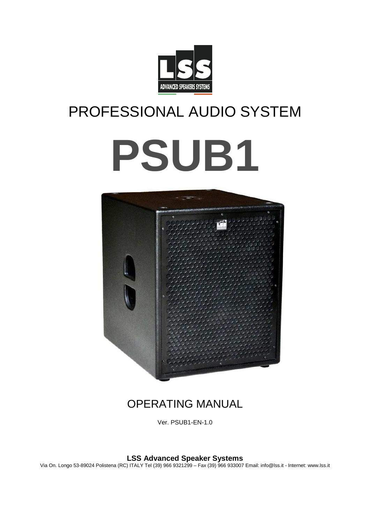

## PROFESSIONAL AUDIO SYSTEM

# **PSUB1**



## OPERATING MANUAL

Ver. PSUB1-EN-1.0

**LSS Advanced Speaker Systems** 

Via On. Longo 53-89024 Polistena (RC) ITALY Tel (39) 966 9321299 – Fax (39) 966 933007 Email: info@lss.it - Internet: www.lss.it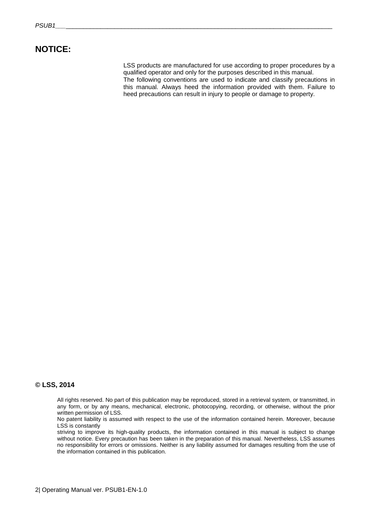#### **NOTICE:**

LSS products are manufactured for use according to proper procedures by a qualified operator and only for the purposes described in this manual. The following conventions are used to indicate and classify precautions in this manual. Always heed the information provided with them. Failure to heed precautions can result in injury to people or damage to property.

#### **© LSS, 2014**

All rights reserved. No part of this publication may be reproduced, stored in a retrieval system, or transmitted, in any form, or by any means, mechanical, electronic, photocopying, recording, or otherwise, without the prior written permission of LSS.

No patent liability is assumed with respect to the use of the information contained herein. Moreover, because LSS is constantly

striving to improve its high-quality products, the information contained in this manual is subject to change without notice. Every precaution has been taken in the preparation of this manual. Nevertheless, LSS assumes no responsibility for errors or omissions. Neither is any liability assumed for damages resulting from the use of the information contained in this publication.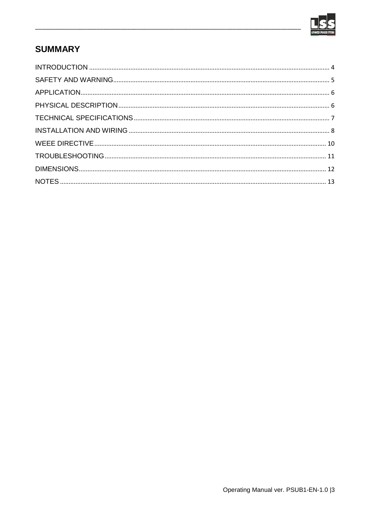

## **SUMMARY**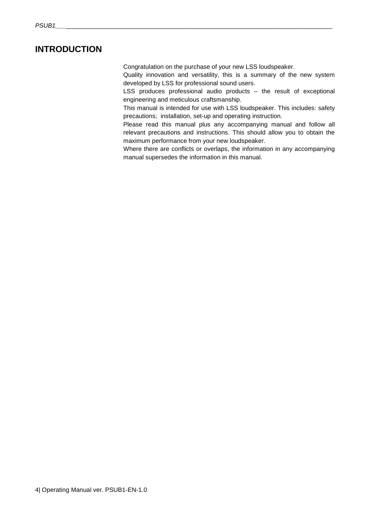### **INTRODUCTION**

Congratulation on the purchase of your new LSS loudspeaker.

Quality innovation and versatility, this is a summary of the new system developed by LSS for professional sound users.

LSS produces professional audio products – the result of exceptional engineering and meticulous craftsmanship.

This manual is intended for use with LSS loudspeaker. This includes: safety precautions; installation, set-up and operating instruction.

Please read this manual plus any accompanying manual and follow all relevant precautions and instructions. This should allow you to obtain the maximum performance from your new loudspeaker.

Where there are conflicts or overlaps, the information in any accompanying manual supersedes the information in this manual.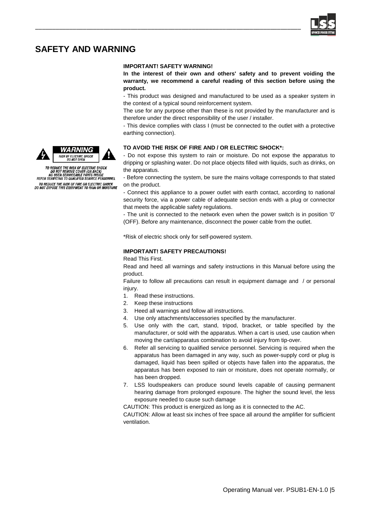

## **SAFETY AND WARNING**

#### **IMPORTANT! SAFETY WARNING!**

\_\_\_\_\_\_\_\_\_\_\_\_\_\_\_\_\_\_\_\_\_\_\_\_\_\_\_\_\_\_\_\_\_\_\_\_\_\_\_\_\_\_\_\_\_\_\_\_\_\_\_\_\_\_\_\_\_\_\_\_\_\_\_\_\_\_\_\_\_\_\_\_\_\_\_\_\_\_

**In the interest of their own and others' safety and to prevent voiding the warranty, we recommend a careful reading of this section before using the product.** 

- This product was designed and manufactured to be used as a speaker system in the context of a typical sound reinforcement system.

The use for any purpose other than these is not provided by the manufacturer and is therefore under the direct responsibility of the user / installer.

- This device complies with class I (must be connected to the outlet with a protective earthing connection).

#### **TO AVOID THE RISK OF FIRE AND / OR ELECTRIC SHOCK\*:**

- Do not expose this system to rain or moisture. Do not expose the apparatus to dripping or splashing water. Do not place objects filled with liquids, such as drinks, on the apparatus.

- Before connecting the system, be sure the mains voltage corresponds to that stated on the product.

- Connect this appliance to a power outlet with earth contact, according to national security force, via a power cable of adequate section ends with a plug or connector that meets the applicable safety regulations.

- The unit is connected to the network even when the power switch is in position '0' (OFF). Before any maintenance, disconnect the power cable from the outlet.

\*Risk of electric shock only for self-powered system.

#### **IMPORTANT! SAFETY PRECAUTIONS!**

Read This First.

Read and heed all warnings and safety instructions in this Manual before using the product.

Failure to follow all precautions can result in equipment damage and / or personal injury.

- 1. Read these instructions.
- 2. Keep these instructions
- 3. Heed all warnings and follow all instructions.
- 4. Use only attachments/accessories specified by the manufacturer.
- 5. Use only with the cart, stand, tripod, bracket, or table specified by the manufacturer, or sold with the apparatus. When a cart is used, use caution when moving the cart/apparatus combination to avoid injury from tip-over.
- 6. Refer all servicing to qualified service personnel. Servicing is required when the apparatus has been damaged in any way, such as power-supply cord or plug is damaged, liquid has been spilled or objects have fallen into the apparatus, the apparatus has been exposed to rain or moisture, does not operate normally, or has been dropped.
- 7. LSS loudspeakers can produce sound levels capable of causing permanent hearing damage from prolonged exposure. The higher the sound level, the less exposure needed to cause such damage

CAUTION: This product is energized as long as it is connected to the AC.

CAUTION: Allow at least six inches of free space all around the amplifier for sufficient ventilation.





TO REDUCE THE RISK OF ELECTRIC SHOCK<br>DO NOT REMOVE COVER (OR BACK)<br>NO USER SERVICEABLE PARTS INSIDE<br>REFER SERVICING TO QUALIFIED SERVICE PERSONNEL TO REDUCE THE RISK OF FIRE OR ELECTRIC SHOCK<br>DO NOT EXPOSE THIS EQUIPMENT TO RAIN OR MOISTURE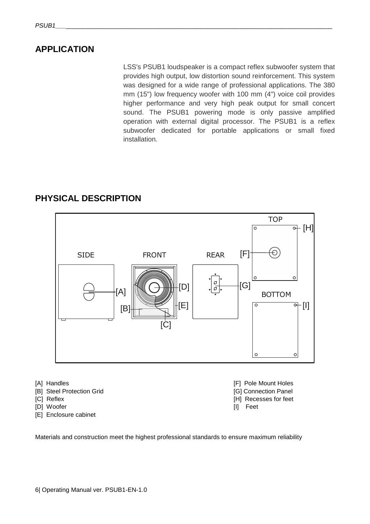## **APPLICATION**

LSS's PSUB1 loudspeaker is a compact reflex subwoofer system that provides high output, low distortion sound reinforcement. This system was designed for a wide range of professional applications. The 380 mm (15") low frequency woofer with 100 mm (4") voice coil provides higher performance and very high peak output for small concert sound. The PSUB1 powering mode is only passive amplified operation with external digital processor. The PSUB1 is a reflex subwoofer dedicated for portable applications or small fixed installation.

## **PHYSICAL DESCRIPTION**



- [B] Steel Protection Grid **and Connection Panel** [G] Connection Panel
- 
- [D] Woofer [I] Feet
- [E] Enclosure cabinet
- [A] Handles [F] Pole Mount Holes [C] Reflex **[H]** Recesses for feet
	-

Materials and construction meet the highest professional standards to ensure maximum reliability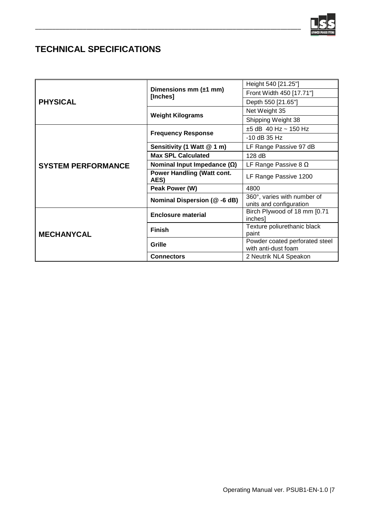

## **TECHNICAL SPECIFICATIONS**

|                           | Dimensions mm $(\pm 1$ mm)<br>[Inches]    | Height 540 [21.25"]                                    |
|---------------------------|-------------------------------------------|--------------------------------------------------------|
| <b>PHYSICAL</b>           |                                           | Front Width 450 [17.71"]                               |
|                           |                                           | Depth 550 [21.65"]                                     |
|                           | <b>Weight Kilograms</b>                   | Net Weight 35                                          |
|                           |                                           | Shipping Weight 38                                     |
|                           | <b>Frequency Response</b>                 | $±5$ dB 40 Hz ~ 150 Hz                                 |
|                           |                                           | $-10$ dB 35 Hz                                         |
|                           | Sensitivity (1 Watt @ 1 m)                | LF Range Passive 97 dB                                 |
|                           | <b>Max SPL Calculated</b>                 | 128 dB                                                 |
| <b>SYSTEM PERFORMANCE</b> | Nominal Input Impedance $(\Omega)$        | LF Range Passive 8 $\Omega$                            |
|                           | <b>Power Handling (Watt cont.</b><br>AES) | LF Range Passive 1200                                  |
|                           | Peak Power (W)                            | 4800                                                   |
|                           | Nominal Dispersion (@ -6 dB)              | 360°, varies with number of<br>units and configuration |
| <b>MECHANYCAL</b>         | <b>Enclosure material</b>                 | Birch Plywood of 18 mm [0.71<br>inches]                |
|                           | <b>Finish</b>                             | Texture poliurethanic black<br>paint                   |
|                           | Grille                                    | Powder coated perforated steel<br>with anti-dust foam  |
|                           | <b>Connectors</b>                         | 2 Neutrik NL4 Speakon                                  |

\_\_\_\_\_\_\_\_\_\_\_\_\_\_\_\_\_\_\_\_\_\_\_\_\_\_\_\_\_\_\_\_\_\_\_\_\_\_\_\_\_\_\_\_\_\_\_\_\_\_\_\_\_\_\_\_\_\_\_\_\_\_\_\_\_\_\_\_\_\_\_\_\_\_\_\_\_\_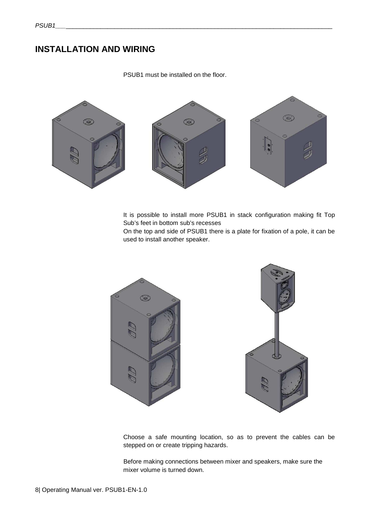## **INSTALLATION AND WIRING**

PSUB1 must be installed on the floor.



It is possible to install more PSUB1 in stack configuration making fit Top Sub's feet in bottom sub's recesses

On the top and side of PSUB1 there is a plate for fixation of a pole, it can be used to install another speaker.





Choose a safe mounting location, so as to prevent the cables can be stepped on or create tripping hazards.

 Before making connections between mixer and speakers, make sure the mixer volume is turned down.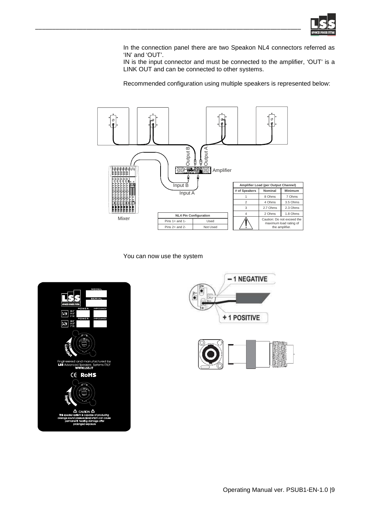

In the connection panel there are two Speakon NL4 connectors referred as 'IN' and 'OUT'.

IN is the input connector and must be connected to the amplifier, 'OUT' is a LINK OUT and can be connected to other systems.

Recommended configuration using multiple speakers is represented below:



You can now use the system

\_\_\_\_\_\_\_\_\_\_\_\_\_\_\_\_\_\_\_\_\_\_\_\_\_\_\_\_\_\_\_\_\_\_\_\_\_\_\_\_\_\_\_\_\_\_\_\_\_\_\_\_\_\_\_\_\_\_\_\_\_\_\_\_\_\_\_\_\_\_\_\_\_\_\_\_\_\_





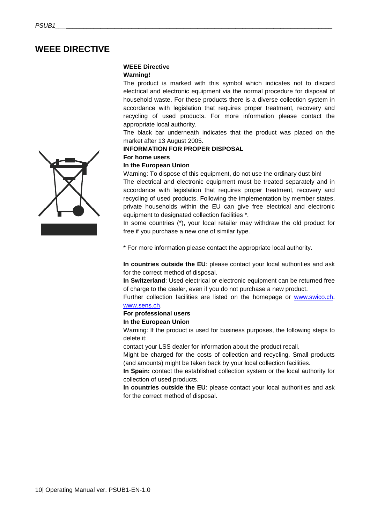## **WEEE DIRECTIVE**

#### **WEEE Directive**

#### **Warning!**

The product is marked with this symbol which indicates not to discard electrical and electronic equipment via the normal procedure for disposal of household waste. For these products there is a diverse collection system in accordance with legislation that requires proper treatment, recovery and recycling of used products. For more information please contact the appropriate local authority.

The black bar underneath indicates that the product was placed on the market after 13 August 2005.

#### **INFORMATION FOR PROPER DISPOSAL**

#### **For home users**

#### **In the European Union**

Warning: To dispose of this equipment, do not use the ordinary dust bin!

The electrical and electronic equipment must be treated separately and in accordance with legislation that requires proper treatment, recovery and recycling of used products. Following the implementation by member states, private households within the EU can give free electrical and electronic equipment to designated collection facilities \*.

In some countries (\*), your local retailer may withdraw the old product for free if you purchase a new one of similar type.

\* For more information please contact the appropriate local authority.

**In countries outside the EU**: please contact your local authorities and ask for the correct method of disposal.

**In Switzerland**: Used electrical or electronic equipment can be returned free of charge to the dealer, even if you do not purchase a new product.

Further collection facilities are listed on the homepage or www.swico.ch. www.sens.ch.

#### **For professional users**

#### **In the European Union**

Warning: If the product is used for business purposes, the following steps to delete it:

contact your LSS dealer for information about the product recall.

Might be charged for the costs of collection and recycling. Small products (and amounts) might be taken back by your local collection facilities.

**In Spain:** contact the established collection system or the local authority for collection of used products.

**In countries outside the EU**: please contact your local authorities and ask for the correct method of disposal.

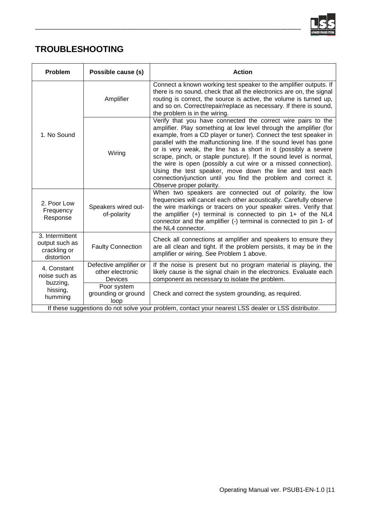

## **TROUBLESHOOTING**

| Problem                                                                                             | Possible cause (s)                                    | <b>Action</b>                                                                                                                                                                                                                                                                                                                                                                                                                                                                                                                                                                                                                                  |  |
|-----------------------------------------------------------------------------------------------------|-------------------------------------------------------|------------------------------------------------------------------------------------------------------------------------------------------------------------------------------------------------------------------------------------------------------------------------------------------------------------------------------------------------------------------------------------------------------------------------------------------------------------------------------------------------------------------------------------------------------------------------------------------------------------------------------------------------|--|
| 1. No Sound                                                                                         | Amplifier                                             | Connect a known working test speaker to the amplifier outputs. If<br>there is no sound, check that all the electronics are on, the signal<br>routing is correct, the source is active, the volume is turned up,<br>and so on. Correct/repair/replace as necessary. If there is sound,<br>the problem is in the wiring.                                                                                                                                                                                                                                                                                                                         |  |
|                                                                                                     | Wiring                                                | Verify that you have connected the correct wire pairs to the<br>amplifier. Play something at low level through the amplifier (for<br>example, from a CD player or tuner). Connect the test speaker in<br>parallel with the malfunctioning line. If the sound level has gone<br>or is very weak, the line has a short in it (possibly a severe<br>scrape, pinch, or staple puncture). If the sound level is normal,<br>the wire is open (possibly a cut wire or a missed connection).<br>Using the test speaker, move down the line and test each<br>connection/junction until you find the problem and correct it.<br>Observe proper polarity. |  |
| 2. Poor Low<br>Frequency<br>Response                                                                | Speakers wired out-<br>of-polarity                    | When two speakers are connected out of polarity, the low<br>frequencies will cancel each other acoustically. Carefully observe<br>the wire markings or tracers on your speaker wires. Verify that<br>the amplifier $(+)$ terminal is connected to pin 1+ of the NL4<br>connector and the amplifier (-) terminal is connected to pin 1- of<br>the NL4 connector.                                                                                                                                                                                                                                                                                |  |
| 3. Intermittent<br>output such as<br>crackling or<br>distortion                                     | <b>Faulty Connection</b>                              | Check all connections at amplifier and speakers to ensure they<br>are all clean and tight. If the problem persists, it may be in the<br>amplifier or wiring. See Problem 1 above.                                                                                                                                                                                                                                                                                                                                                                                                                                                              |  |
| 4. Constant<br>noise such as<br>buzzing,<br>hissing,<br>humming                                     | Defective amplifier or<br>other electronic<br>Devices | If the noise is present but no program material is playing, the<br>likely cause is the signal chain in the electronics. Evaluate each<br>component as necessary to isolate the problem.                                                                                                                                                                                                                                                                                                                                                                                                                                                        |  |
|                                                                                                     | Poor system<br>grounding or ground<br>loop            | Check and correct the system grounding, as required.                                                                                                                                                                                                                                                                                                                                                                                                                                                                                                                                                                                           |  |
| If these suggestions do not solve your problem, contact your nearest LSS dealer or LSS distributor. |                                                       |                                                                                                                                                                                                                                                                                                                                                                                                                                                                                                                                                                                                                                                |  |

\_\_\_\_\_\_\_\_\_\_\_\_\_\_\_\_\_\_\_\_\_\_\_\_\_\_\_\_\_\_\_\_\_\_\_\_\_\_\_\_\_\_\_\_\_\_\_\_\_\_\_\_\_\_\_\_\_\_\_\_\_\_\_\_\_\_\_\_\_\_\_\_\_\_\_\_\_\_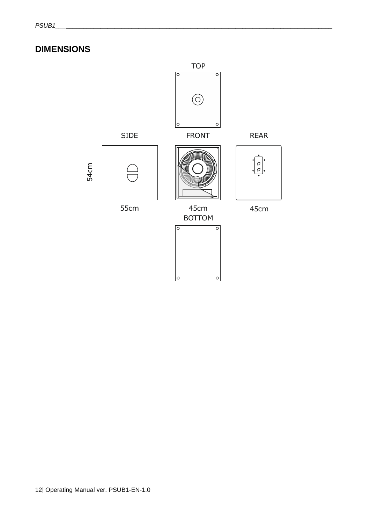## **DIMENSIONS**

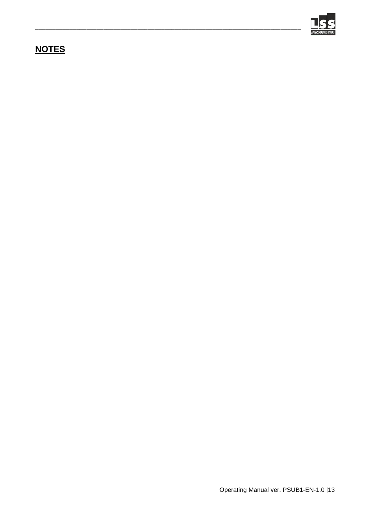

## **NOTES**